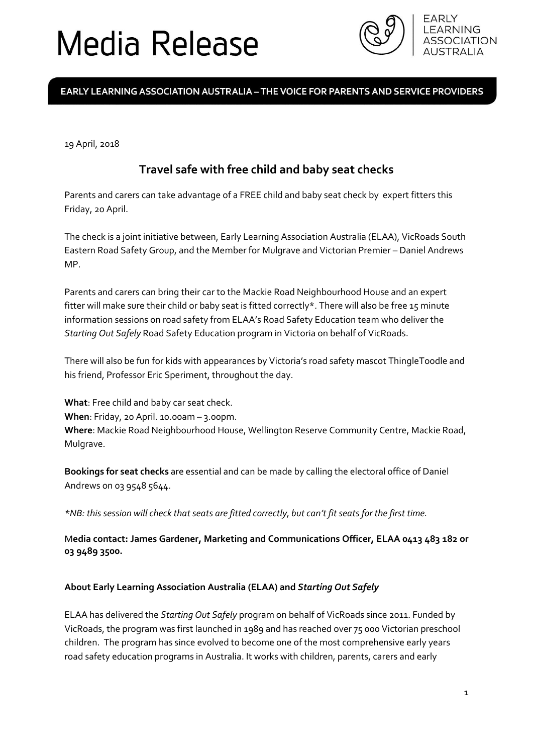# Media Release



### EARLY LEARNING ASSOCIATION AUSTRALIA - THE VOICE FOR PARENTS AND SERVICE PROVIDERS

19 April, 2018

## **Travel safe with free child and baby seat checks**

Parents and carers can take advantage of a FREE child and baby seat check by expert fitters this Friday, 20 April.

The check is a joint initiative between, Early Learning Association Australia (ELAA), VicRoads South Eastern Road Safety Group, and the Member for Mulgrave and Victorian Premier – Daniel Andrews MP.

Parents and carers can bring their car to the Mackie Road Neighbourhood House and an expert fitter will make sure their child or baby seat is fitted correctly\*. There will also be free 15 minute information sessions on road safety from ELAA's Road Safety Education team who deliver the *Starting Out Safely* Road Safety Education program in Victoria on behalf of VicRoads.

There will also be fun for kids with appearances by Victoria's road safety mascot ThingleToodle and his friend, Professor Eric Speriment, throughout the day.

**What**: Free child and baby car seat check. **When**: Friday, 20 April. 10.00am – 3.00pm. **Where**: Mackie Road Neighbourhood House, Wellington Reserve Community Centre, Mackie Road, Mulgrave.

**Bookings for seat checks** are essential and can be made by calling the electoral office of Daniel Andrews on 03 9548 5644.

*\*NB: this session will check that seats are fitted correctly, but can't fit seats for the first time.*

M**edia contact: James Gardener, Marketing and Communications Officer, ELAA 0413 483 182 or 03 9489 3500.**

#### **About Early Learning Association Australia (ELAA) and** *Starting Out Safely*

ELAA has delivered the *Starting Out Safely* program on behalf of VicRoads since 2011. Funded by VicRoads, the program was first launched in 1989 and has reached over 75 000 Victorian preschool children. The program has since evolved to become one of the most comprehensive early years road safety education programs in Australia. It works with children, parents, carers and early